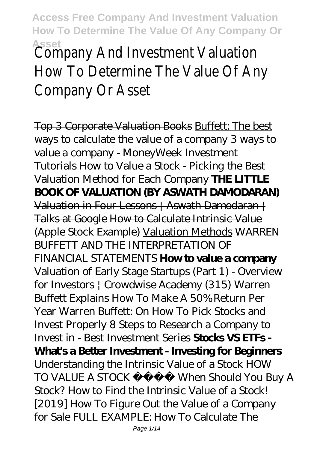Asset<br>Company And Investment Valuation How To Determine The Value Of An Company Or Asset

Top 3 Corporate Valuation Books Buffett: The best ways to calculate the value of a company *3 ways to value a company - MoneyWeek Investment Tutorials* How to Value a Stock - Picking the Best Valuation Method for Each Company **THE LITTLE BOOK OF VALUATION (BY ASWATH DAMODARAN)** Valuation in Four Lessons | Aswath Damodaran | Talks at Google How to Calculate Intrinsic Value (Apple Stock Example) Valuation Methods WARREN BUFFETT AND THE INTERPRETATION OF FINANCIAL STATEMENTS **How to value a company** Valuation of Early Stage Startups (Part 1) - Overview for Investors | Crowdwise Academy (315) *Warren Buffett Explains How To Make A 50% Return Per Year* Warren Buffett: On How To Pick Stocks and Invest Properly *8 Steps to Research a Company to Invest in - Best Investment Series* **Stocks VS ETFs - What's a Better Investment - Investing for Beginners** Understanding the Intrinsic Value of a Stock HOW TO VALUE A STOCK When Should You Buy A Stock? *How to Find the Intrinsic Value of a Stock! [2019] How To Figure Out the Value of a Company for Sale FULL EXAMPLE: How To Calculate The*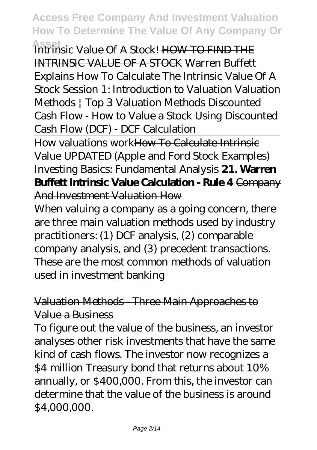**Asset** *Intrinsic Value Of A Stock!* HOW TO FIND THE INTRINSIC VALUE OF A STOCK Warren Buffett Explains How To Calculate The Intrinsic Value Of A Stock Session 1: Introduction to Valuation Valuation Methods | Top 3 Valuation Methods *Discounted Cash Flow - How to Value a Stock Using Discounted Cash Flow (DCF) - DCF Calculation*

How valuations workHow To Calculate Intrinsic Value UPDATED (Apple and Ford Stock Examples) *Investing Basics: Fundamental Analysis* **21. Warren Buffett Intrinsic Value Calculation - Rule 4** Company And Investment Valuation How

When valuing a company as a going concern, there are three main valuation methods used by industry practitioners: (1) DCF analysis, (2) comparable company analysis, and (3) precedent transactions. These are the most common methods of valuation used in investment banking

#### Valuation Methods - Three Main Approaches to Value a Business

To figure out the value of the business, an investor analyses other risk investments that have the same kind of cash flows. The investor now recognizes a \$4 million Treasury bond that returns about 10% annually, or \$400,000. From this, the investor can determine that the value of the business is around \$4,000,000.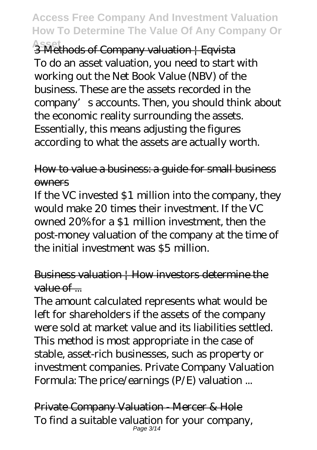**Asset** 3 Methods of Company valuation | Eqvista To do an asset valuation, you need to start with working out the Net Book Value (NBV) of the business. These are the assets recorded in the company's accounts. Then, you should think about the economic reality surrounding the assets. Essentially, this means adjusting the figures according to what the assets are actually worth.

#### How to value a business: a guide for small business owners

If the VC invested \$1 million into the company, they would make 20 times their investment. If the VC owned 20% for a \$1 million investment, then the post-money valuation of the company at the time of the initial investment was \$5 million.

### Business valuation | How investors determine the  $value of$ ...

The amount calculated represents what would be left for shareholders if the assets of the company were sold at market value and its liabilities settled. This method is most appropriate in the case of stable, asset-rich businesses, such as property or investment companies. Private Company Valuation Formula: The price/earnings (P/E) valuation ...

Private Company Valuation - Mercer & Hole To find a suitable valuation for your company, Page 3/14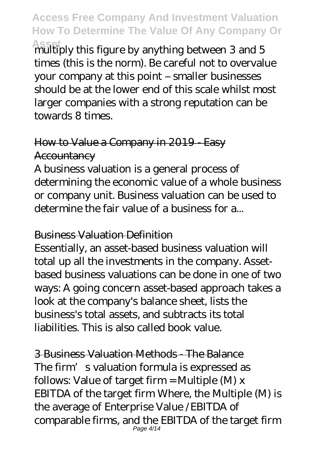**Asset** multiply this figure by anything between 3 and 5 times (this is the norm). Be careful not to overvalue your company at this point – smaller businesses should be at the lower end of this scale whilst most larger companies with a strong reputation can be towards 8 times.

### How to Value a Company in 2019 - Easy **Accountancy**

A business valuation is a general process of determining the economic value of a whole business or company unit. Business valuation can be used to determine the fair value of a business for a...

#### Business Valuation Definition

Essentially, an asset-based business valuation will total up all the investments in the company. Assetbased business valuations can be done in one of two ways: A going concern asset-based approach takes a look at the company's balance sheet, lists the business's total assets, and subtracts its total liabilities. This is also called book value.

3 Business Valuation Methods - The Balance The firm's valuation formula is expressed as follows: Value of target firm = Multiple  $(M)$  x EBITDA of the target firm Where, the Multiple (M) is the average of Enterprise Value /EBITDA of comparable firms, and the EBITDA of the target firm Page 4/14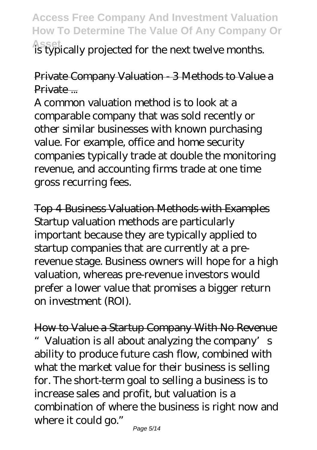**Asset** is typically projected for the next twelve months.

#### Private Company Valuation - 3 Methods to Value a Private ...

A common valuation method is to look at a comparable company that was sold recently or other similar businesses with known purchasing value. For example, office and home security companies typically trade at double the monitoring revenue, and accounting firms trade at one time gross recurring fees.

Top 4 Business Valuation Methods with Examples Startup valuation methods are particularly important because they are typically applied to startup companies that are currently at a prerevenue stage. Business owners will hope for a high valuation, whereas pre-revenue investors would prefer a lower value that promises a bigger return on investment (ROI).

How to Value a Startup Company With No Revenue " Valuation is all about analyzing the company's ability to produce future cash flow, combined with what the market value for their business is selling for. The short-term goal to selling a business is to increase sales and profit, but valuation is a combination of where the business is right now and where it could go."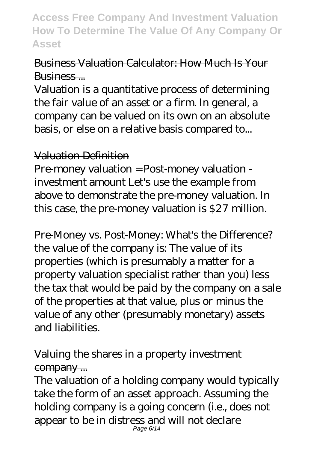### Business Valuation Calculator: How Much Is Your Business...

Valuation is a quantitative process of determining the fair value of an asset or a firm. In general, a company can be valued on its own on an absolute basis, or else on a relative basis compared to...

#### Valuation Definition

Pre-money valuation = Post-money valuation investment amount Let's use the example from above to demonstrate the pre-money valuation. In this case, the pre-money valuation is \$27 million.

Pre-Money vs. Post-Money: What's the Difference? the value of the company is: The value of its properties (which is presumably a matter for a property valuation specialist rather than you) less the tax that would be paid by the company on a sale of the properties at that value, plus or minus the value of any other (presumably monetary) assets and liabilities.

## Valuing the shares in a property investment company ...

The valuation of a holding company would typically take the form of an asset approach. Assuming the holding company is a going concern (i.e., does not appear to be in distress and will not declare Page 6/14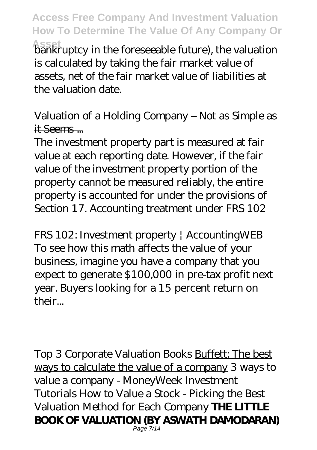**Asset** bankruptcy in the foreseeable future), the valuation is calculated by taking the fair market value of assets, net of the fair market value of liabilities at the valuation date.

Valuation of a Holding Company – Not as Simple as it Seems ...

The investment property part is measured at fair value at each reporting date. However, if the fair value of the investment property portion of the property cannot be measured reliably, the entire property is accounted for under the provisions of Section 17. Accounting treatment under FRS 102

FRS 102: Investment property | AccountingWEB To see how this math affects the value of your business, imagine you have a company that you expect to generate \$100,000 in pre-tax profit next year. Buyers looking for a 15 percent return on their...

Top 3 Corporate Valuation Books Buffett: The best ways to calculate the value of a company *3 ways to value a company - MoneyWeek Investment Tutorials* How to Value a Stock - Picking the Best Valuation Method for Each Company **THE LITTLE BOOK OF VALUATION (BY ASWATH DAMODARAN)** Page 7/14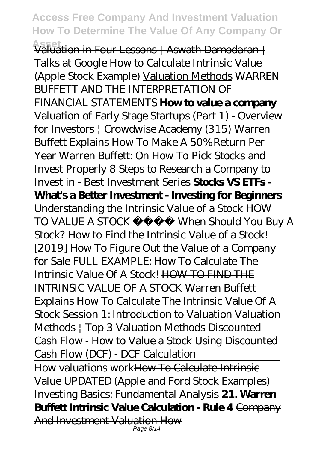**Asset** Valuation in Four Lessons | Aswath Damodaran | Talks at Google How to Calculate Intrinsic Value (Apple Stock Example) Valuation Methods WARREN BUFFETT AND THE INTERPRETATION OF FINANCIAL STATEMENTS **How to value a company** Valuation of Early Stage Startups (Part 1) - Overview for Investors | Crowdwise Academy (315) *Warren Buffett Explains How To Make A 50% Return Per Year* Warren Buffett: On How To Pick Stocks and Invest Properly *8 Steps to Research a Company to Invest in - Best Investment Series* **Stocks VS ETFs - What's a Better Investment - Investing for Beginners** Understanding the Intrinsic Value of a Stock HOW TO VALUE A STOCK When Should You Buy A Stock? *How to Find the Intrinsic Value of a Stock! [2019] How To Figure Out the Value of a Company for Sale FULL EXAMPLE: How To Calculate The Intrinsic Value Of A Stock!* HOW TO FIND THE INTRINSIC VALUE OF A STOCK Warren Buffett Explains How To Calculate The Intrinsic Value Of A Stock Session 1: Introduction to Valuation Valuation Methods | Top 3 Valuation Methods *Discounted Cash Flow - How to Value a Stock Using Discounted Cash Flow (DCF) - DCF Calculation*

How valuations workHow To Calculate Intrinsic Value UPDATED (Apple and Ford Stock Examples) *Investing Basics: Fundamental Analysis* **21. Warren Buffett Intrinsic Value Calculation - Rule 4** Company And Investment Valuation How Page 8/14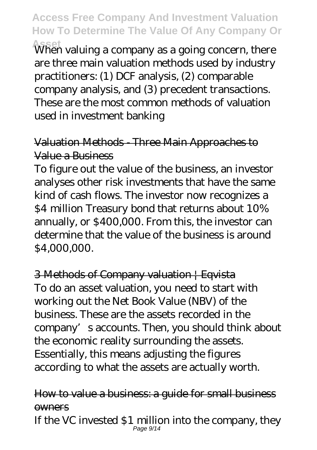**Asset** When valuing a company as a going concern, there are three main valuation methods used by industry practitioners: (1) DCF analysis, (2) comparable company analysis, and (3) precedent transactions. These are the most common methods of valuation used in investment banking

#### Valuation Methods - Three Main Approaches to Value a Business

To figure out the value of the business, an investor analyses other risk investments that have the same kind of cash flows. The investor now recognizes a \$4 million Treasury bond that returns about 10% annually, or \$400,000. From this, the investor can determine that the value of the business is around \$4,000,000.

3 Methods of Company valuation | Eqvista To do an asset valuation, you need to start with working out the Net Book Value (NBV) of the business. These are the assets recorded in the company's accounts. Then, you should think about the economic reality surrounding the assets. Essentially, this means adjusting the figures according to what the assets are actually worth.

#### How to value a business: a guide for small business **owners** If the VC invested \$1 million into the company, they Page 9/14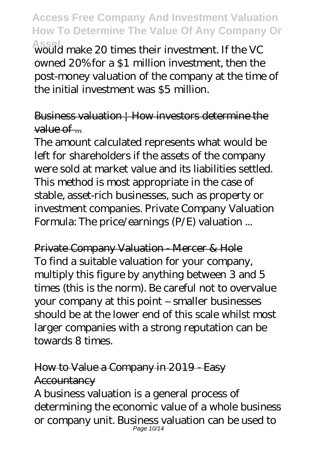**Asset** would make 20 times their investment. If the VC owned 20% for a \$1 million investment, then the post-money valuation of the company at the time of the initial investment was \$5 million.

Business valuation | How investors determine the  $value of$ ....

The amount calculated represents what would be left for shareholders if the assets of the company were sold at market value and its liabilities settled. This method is most appropriate in the case of stable, asset-rich businesses, such as property or investment companies. Private Company Valuation Formula: The price/earnings (P/E) valuation ...

Private Company Valuation - Mercer & Hole To find a suitable valuation for your company, multiply this figure by anything between 3 and 5 times (this is the norm). Be careful not to overvalue your company at this point – smaller businesses should be at the lower end of this scale whilst most larger companies with a strong reputation can be towards 8 times.

## How to Value a Company in 2019 - Easy **Accountancy**

A business valuation is a general process of determining the economic value of a whole business or company unit. Business valuation can be used to Page 10/14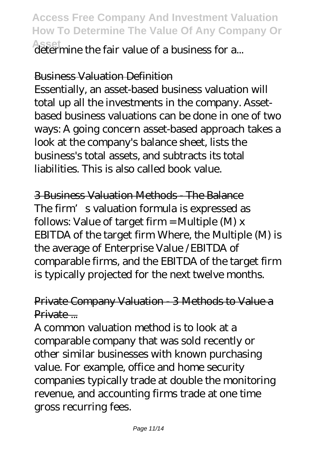**Asset** determine the fair value of a business for a...

#### Business Valuation Definition

Essentially, an asset-based business valuation will total up all the investments in the company. Assetbased business valuations can be done in one of two ways: A going concern asset-based approach takes a look at the company's balance sheet, lists the business's total assets, and subtracts its total liabilities. This is also called book value.

3 Business Valuation Methods - The Balance The firm's valuation formula is expressed as follows: Value of target firm = Multiple  $(M)$  x EBITDA of the target firm Where, the Multiple (M) is the average of Enterprise Value /EBITDA of comparable firms, and the EBITDA of the target firm is typically projected for the next twelve months.

#### Private Company Valuation - 3 Methods to Value a Private ...

A common valuation method is to look at a comparable company that was sold recently or other similar businesses with known purchasing value. For example, office and home security companies typically trade at double the monitoring revenue, and accounting firms trade at one time gross recurring fees.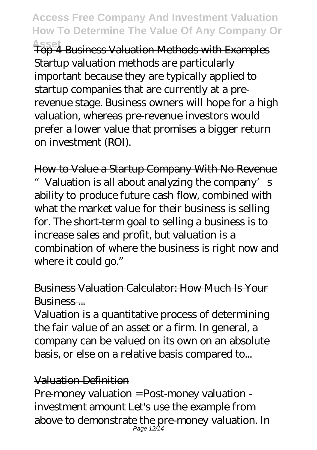**Asset** Top 4 Business Valuation Methods with Examples Startup valuation methods are particularly important because they are typically applied to startup companies that are currently at a prerevenue stage. Business owners will hope for a high valuation, whereas pre-revenue investors would prefer a lower value that promises a bigger return on investment (ROI).

How to Value a Startup Company With No Revenue " Valuation is all about analyzing the company's ability to produce future cash flow, combined with what the market value for their business is selling for. The short-term goal to selling a business is to increase sales and profit, but valuation is a combination of where the business is right now and where it could go."

#### Business Valuation Calculator: How Much Is Your Business...

Valuation is a quantitative process of determining the fair value of an asset or a firm. In general, a company can be valued on its own on an absolute basis, or else on a relative basis compared to...

#### Valuation Definition

Pre-money valuation = Post-money valuation investment amount Let's use the example from above to demonstrate the pre-money valuation. In Page 12/14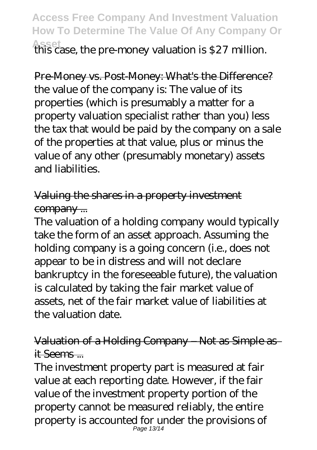## **Access Free Company And Investment Valuation How To Determine The Value Of Any Company Or Asset** this case, the pre-money valuation is \$27 million.

Pre-Money vs. Post-Money: What's the Difference? the value of the company is: The value of its properties (which is presumably a matter for a property valuation specialist rather than you) less the tax that would be paid by the company on a sale of the properties at that value, plus or minus the value of any other (presumably monetary) assets and liabilities.

Valuing the shares in a property investment company ...

The valuation of a holding company would typically take the form of an asset approach. Assuming the holding company is a going concern (i.e., does not appear to be in distress and will not declare bankruptcy in the foreseeable future), the valuation is calculated by taking the fair market value of assets, net of the fair market value of liabilities at the valuation date.

Valuation of a Holding Company – Not as Simple as it Seems ...

The investment property part is measured at fair value at each reporting date. However, if the fair value of the investment property portion of the property cannot be measured reliably, the entire property is accounted for under the provisions of Page 13/14